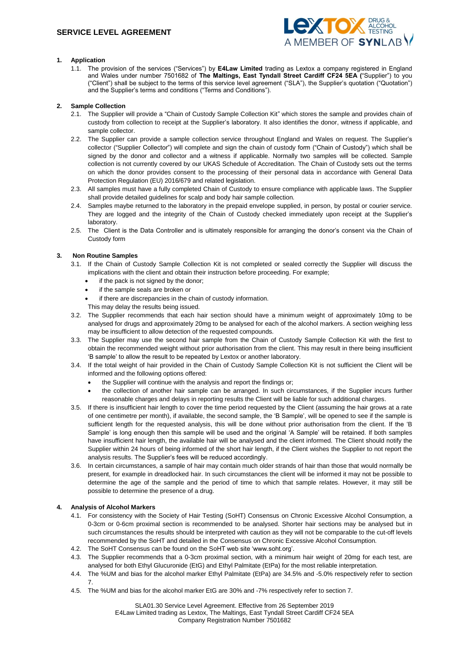

## **1. Application**

1.1. The provision of the services ("Services") by **E4Law Limited** trading as Lextox a company registered in England and Wales under number 7501682 of **The Maltings, East Tyndall Street Cardiff CF24 5EA (**"Supplier") to you ("Client") shall be subject to the terms of this service level agreement ("SLA"), the Supplier's quotation ("Quotation") and the Supplier's terms and conditions ("Terms and Conditions").

## **2. Sample Collection**

- 2.1. The Supplier will provide a "Chain of Custody Sample Collection Kit" which stores the sample and provides chain of custody from collection to receipt at the Supplier's laboratory. It also identifies the donor, witness if applicable, and sample collector.
- 2.2. The Supplier can provide a sample collection service throughout England and Wales on request. The Supplier's collector ("Supplier Collector") will complete and sign the chain of custody form ("Chain of Custody") which shall be signed by the donor and collector and a witness if applicable. Normally two samples will be collected. Sample collection is not currently covered by our UKAS Schedule of Accreditation. The Chain of Custody sets out the terms on which the donor provides consent to the processing of their personal data in accordance with General Data Protection Regulation (EU) 2016/679 and related legislation.
- 2.3. All samples must have a fully completed Chain of Custody to ensure compliance with applicable laws. The Supplier shall provide detailed guidelines for scalp and body hair sample collection.
- 2.4. Samples maybe returned to the laboratory in the prepaid envelope supplied, in person, by postal or courier service. They are logged and the integrity of the Chain of Custody checked immediately upon receipt at the Supplier's laboratory.
- 2.5. The Client is the Data Controller and is ultimately responsible for arranging the donor's consent via the Chain of Custody form

## **3. Non Routine Samples**

- 3.1. If the Chain of Custody Sample Collection Kit is not completed or sealed correctly the Supplier will discuss the implications with the client and obtain their instruction before proceeding. For example;
	- if the pack is not signed by the donor;
	- if the sample seals are broken or
	- if there are discrepancies in the chain of custody information.
	- This may delay the results being issued.
- 3.2. The Supplier recommends that each hair section should have a minimum weight of approximately 10mg to be analysed for drugs and approximately 20mg to be analysed for each of the alcohol markers. A section weighing less may be insufficient to allow detection of the requested compounds.
- 3.3. The Supplier may use the second hair sample from the Chain of Custody Sample Collection Kit with the first to obtain the recommended weight without prior authorisation from the client. This may result in there being insufficient 'B sample' to allow the result to be repeated by Lextox or another laboratory.
- 3.4. If the total weight of hair provided in the Chain of Custody Sample Collection Kit is not sufficient the Client will be informed and the following options offered:
	- the Supplier will continue with the analysis and report the findings or;
	- the collection of another hair sample can be arranged. In such circumstances, if the Supplier incurs further reasonable charges and delays in reporting results the Client will be liable for such additional charges.
- 3.5. If there is insufficient hair length to cover the time period requested by the Client (assuming the hair grows at a rate of one centimetre per month), if available, the second sample, the 'B Sample', will be opened to see if the sample is sufficient length for the requested analysis, this will be done without prior authorisation from the client. If the 'B Sample' is long enough then this sample will be used and the original 'A Sample' will be retained. If both samples have insufficient hair length, the available hair will be analysed and the client informed. The Client should notify the Supplier within 24 hours of being informed of the short hair length, if the Client wishes the Supplier to not report the analysis results. The Supplier's fees will be reduced accordingly.
- 3.6. In certain circumstances, a sample of hair may contain much older strands of hair than those that would normally be present, for example in dreadlocked hair. In such circumstances the client will be informed it may not be possible to determine the age of the sample and the period of time to which that sample relates. However, it may still be possible to determine the presence of a drug.

# **4. Analysis of Alcohol Markers**

- 4.1. For consistency with the Society of Hair Testing (SoHT) Consensus on Chronic Excessive Alcohol Consumption, a 0-3cm or 0-6cm proximal section is recommended to be analysed. Shorter hair sections may be analysed but in such circumstances the results should be interpreted with caution as they will not be comparable to the cut-off levels recommended by the SoHT and detailed in the Consensus on Chronic Excessive Alcohol Consumption.
- 4.2. The SoHT Consensus can be found on the SoHT web site 'www.soht.org'.
- 4.3. The Supplier recommends that a 0-3cm proximal section, with a minimum hair weight of 20mg for each test, are analysed for both Ethyl Glucuronide (EtG) and Ethyl Palmitate (EtPa) for the most reliable interpretation.
- 4.4. The %UM and bias for the alcohol marker Ethyl Palmitate (EtPa) are 34.5% and -5.0% respectively refer to section 7.
- 4.5. The %UM and bias for the alcohol marker EtG are 30% and -7% respectively refer to section 7.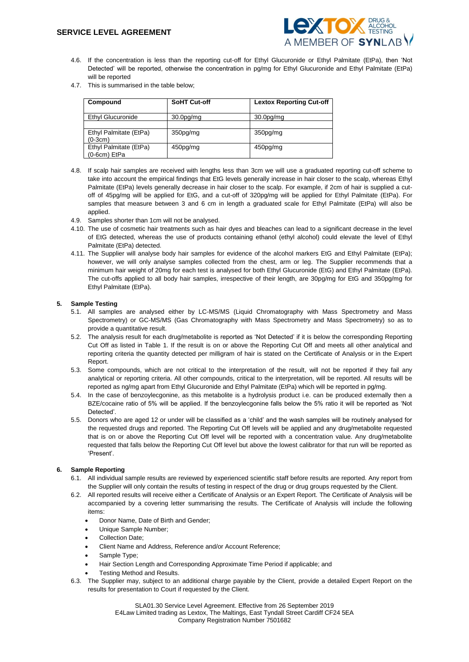

- 4.6. If the concentration is less than the reporting cut-off for Ethyl Glucuronide or Ethyl Palmitate (EtPa), then 'Not Detected' will be reported, otherwise the concentration in pg/mg for Ethyl Glucuronide and Ethyl Palmitate (EtPa) will be reported
- 4.7. This is summarised in the table below;

| Compound                                 | <b>SoHT Cut-off</b>                | <b>Lextox Reporting Cut-off</b>    |
|------------------------------------------|------------------------------------|------------------------------------|
| Ethyl Glucuronide                        | 30.0 <sub>pg</sub> / <sub>mg</sub> | 30.0 <sub>pg</sub> / <sub>mg</sub> |
|                                          |                                    |                                    |
| Ethyl Palmitate (EtPa)<br>$(0-3cm)$      | 350pg/mg                           | 350 <sub>pq</sub> /mq              |
| Ethyl Palmitate (EtPa)<br>$(0-6cm)$ EtPa | 450pg/mg                           | 450pg/mg                           |

- 4.8. If scalp hair samples are received with lengths less than 3cm we will use a graduated reporting cut-off scheme to take into account the empirical findings that EtG levels generally increase in hair closer to the scalp, whereas Ethyl Palmitate (EtPa) levels generally decrease in hair closer to the scalp. For example, if 2cm of hair is supplied a cutoff of 45pg/mg will be applied for EtG, and a cut-off of 320pg/mg will be applied for Ethyl Palmitate (EtPa). For samples that measure between 3 and 6 cm in length a graduated scale for Ethyl Palmitate (EtPa) will also be applied.
- 4.9. Samples shorter than 1cm will not be analysed.
- 4.10. The use of cosmetic hair treatments such as hair dyes and bleaches can lead to a significant decrease in the level of EtG detected, whereas the use of products containing ethanol (ethyl alcohol) could elevate the level of Ethyl Palmitate (EtPa) detected.
- 4.11. The Supplier will analyse body hair samples for evidence of the alcohol markers EtG and Ethyl Palmitate (EtPa); however, we will only analyse samples collected from the chest, arm or leg. The Supplier recommends that a minimum hair weight of 20mg for each test is analysed for both Ethyl Glucuronide (EtG) and Ethyl Palmitate (EtPa). The cut-offs applied to all body hair samples, irrespective of their length, are 30pg/mg for EtG and 350pg/mg for Ethyl Palmitate (EtPa).

### **5. Sample Testing**

- 5.1. All samples are analysed either by LC-MS/MS (Liquid Chromatography with Mass Spectrometry and Mass Spectrometry) or GC-MS/MS (Gas Chromatography with Mass Spectrometry and Mass Spectrometry) so as to provide a quantitative result.
- 5.2. The analysis result for each drug/metabolite is reported as 'Not Detected' if it is below the corresponding Reporting Cut Off as listed in Table 1. If the result is on or above the Reporting Cut Off and meets all other analytical and reporting criteria the quantity detected per milligram of hair is stated on the Certificate of Analysis or in the Expert Report.
- 5.3. Some compounds, which are not critical to the interpretation of the result, will not be reported if they fail any analytical or reporting criteria. All other compounds, critical to the interpretation, will be reported. All results will be reported as ng/mg apart from Ethyl Glucuronide and Ethyl Palmitate (EtPa) which will be reported in pg/mg.
- 5.4. In the case of benzoylecgonine, as this metabolite is a hydrolysis product i.e. can be produced externally then a BZE/cocaine ratio of 5% will be applied. If the benzoylecgonine falls below the 5% ratio it will be reported as 'Not Detected'.
- 5.5. Donors who are aged 12 or under will be classified as a 'child' and the wash samples will be routinely analysed for the requested drugs and reported. The Reporting Cut Off levels will be applied and any drug/metabolite requested that is on or above the Reporting Cut Off level will be reported with a concentration value. Any drug/metabolite requested that falls below the Reporting Cut Off level but above the lowest calibrator for that run will be reported as 'Present'.

## **6. Sample Reporting**

- 6.1. All individual sample results are reviewed by experienced scientific staff before results are reported. Any report from the Supplier will only contain the results of testing in respect of the drug or drug groups requested by the Client.
- 6.2. All reported results will receive either a Certificate of Analysis or an Expert Report. The Certificate of Analysis will be accompanied by a covering letter summarising the results. The Certificate of Analysis will include the following items:
	- Donor Name, Date of Birth and Gender;
	- Unique Sample Number;
	- Collection Date:
	- Client Name and Address, Reference and/or Account Reference;
	- Sample Type;
	- Hair Section Length and Corresponding Approximate Time Period if applicable; and
	- Testing Method and Results.
- 6.3. The Supplier may, subject to an additional charge payable by the Client, provide a detailed Expert Report on the results for presentation to Court if requested by the Client.

SLA01.30 Service Level Agreement. Effective from 26 September 2019 E4Law Limited trading as Lextox, The Maltings, East Tyndall Street Cardiff CF24 5EA Company Registration Number 7501682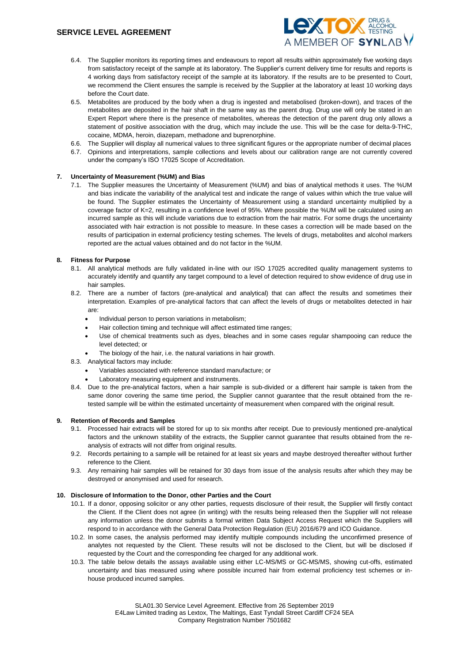

- 6.4. The Supplier monitors its reporting times and endeavours to report all results within approximately five working days from satisfactory receipt of the sample at its laboratory. The Supplier's current delivery time for results and reports is 4 working days from satisfactory receipt of the sample at its laboratory. If the results are to be presented to Court, we recommend the Client ensures the sample is received by the Supplier at the laboratory at least 10 working days before the Court date.
- 6.5. Metabolites are produced by the body when a drug is ingested and metabolised (broken-down), and traces of the metabolites are deposited in the hair shaft in the same way as the parent drug. Drug use will only be stated in an Expert Report where there is the presence of metabolites, whereas the detection of the parent drug only allows a statement of positive association with the drug, which may include the use. This will be the case for delta-9-THC, cocaine, MDMA, heroin, diazepam, methadone and buprenorphine.
- 6.6. The Supplier will display all numerical values to three significant figures or the appropriate number of decimal places
- 6.7. Opinions and interpretations, sample collections and levels about our calibration range are not currently covered under the company's ISO 17025 Scope of Accreditation.

### **7. Uncertainty of Measurement (%UM) and Bias**

7.1. The Supplier measures the Uncertainty of Measurement (%UM) and bias of analytical methods it uses. The %UM and bias indicate the variability of the analytical test and indicate the range of values within which the true value will be found. The Supplier estimates the Uncertainty of Measurement using a standard uncertainty multiplied by a coverage factor of K=2, resulting in a confidence level of 95%. Where possible the %UM will be calculated using an incurred sample as this will include variations due to extraction from the hair matrix. For some drugs the uncertainty associated with hair extraction is not possible to measure. In these cases a correction will be made based on the results of participation in external proficiency testing schemes. The levels of drugs, metabolites and alcohol markers reported are the actual values obtained and do not factor in the %UM.

### **8. Fitness for Purpose**

- 8.1. All analytical methods are fully validated in-line with our ISO 17025 accredited quality management systems to accurately identify and quantify any target compound to a level of detection required to show evidence of drug use in hair samples.
- 8.2. There are a number of factors (pre-analytical and analytical) that can affect the results and sometimes their interpretation. Examples of pre-analytical factors that can affect the levels of drugs or metabolites detected in hair are:
	- Individual person to person variations in metabolism;
	- Hair collection timing and technique will affect estimated time ranges;
	- Use of chemical treatments such as dyes, bleaches and in some cases regular shampooing can reduce the level detected; or
	- The biology of the hair, i.e. the natural variations in hair growth.
- 8.3. Analytical factors may include:
	- Variables associated with reference standard manufacture; or
	- Laboratory measuring equipment and instruments.
- 8.4. Due to the pre-analytical factors, when a hair sample is sub-divided or a different hair sample is taken from the same donor covering the same time period, the Supplier cannot quarantee that the result obtained from the retested sample will be within the estimated uncertainty of measurement when compared with the original result.

#### **9. Retention of Records and Samples**

- 9.1. Processed hair extracts will be stored for up to six months after receipt. Due to previously mentioned pre-analytical factors and the unknown stability of the extracts, the Supplier cannot guarantee that results obtained from the reanalysis of extracts will not differ from original results.
- 9.2. Records pertaining to a sample will be retained for at least six years and maybe destroyed thereafter without further reference to the Client.
- 9.3. Any remaining hair samples will be retained for 30 days from issue of the analysis results after which they may be destroyed or anonymised and used for research.

### **10. Disclosure of Information to the Donor, other Parties and the Court**

- 10.1. If a donor, opposing solicitor or any other parties, requests disclosure of their result, the Supplier will firstly contact the Client. If the Client does not agree (in writing) with the results being released then the Supplier will not release any information unless the donor submits a formal written Data Subject Access Request which the Suppliers will respond to in accordance with the General Data Protection Regulation (EU) 2016/679 and ICO Guidance.
- 10.2. In some cases, the analysis performed may identify multiple compounds including the unconfirmed presence of analytes not requested by the Client. These results will not be disclosed to the Client, but will be disclosed if requested by the Court and the corresponding fee charged for any additional work.
- 10.3. The table below details the assays available using either LC-MS/MS or GC-MS/MS, showing cut-offs, estimated uncertainty and bias measured using where possible incurred hair from external proficiency test schemes or inhouse produced incurred samples.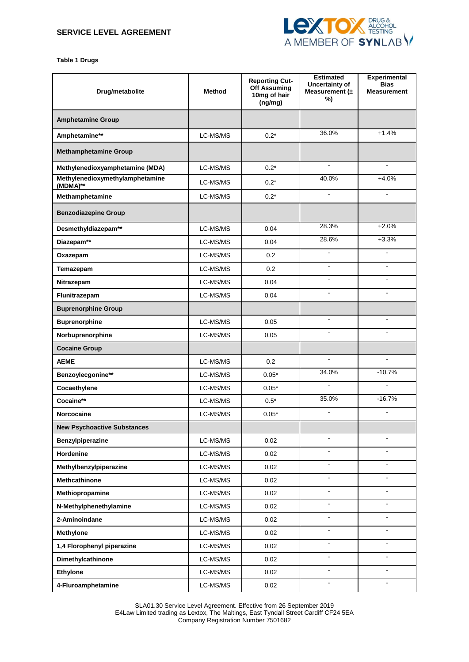

**Table 1 Drugs**

| Drug/metabolite                             | <b>Method</b> | <b>Reporting Cut-</b><br>Off Assuming<br>10mg of hair<br>(ng/mg) | <b>Estimated</b><br>Uncertainty of<br>Measurement $(±$<br>%) | <b>Experimental</b><br><b>Bias</b><br><b>Measurement</b> |
|---------------------------------------------|---------------|------------------------------------------------------------------|--------------------------------------------------------------|----------------------------------------------------------|
| <b>Amphetamine Group</b>                    |               |                                                                  |                                                              |                                                          |
| Amphetamine**                               | LC-MS/MS      | $0.2*$                                                           | 36.0%                                                        | $+1.4%$                                                  |
| <b>Methamphetamine Group</b>                |               |                                                                  |                                                              |                                                          |
| Methylenedioxyamphetamine (MDA)             | LC-MS/MS      | $0.2*$                                                           | $\blacksquare$                                               | $\blacksquare$                                           |
| Methylenedioxymethylamphetamine<br>(MDMA)** | LC-MS/MS      | $0.2*$                                                           | 40.0%                                                        | $+4.0%$                                                  |
| Methamphetamine                             | LC-MS/MS      | $0.2*$                                                           | $\mathbf{r}$                                                 | $\mathbf{r}$                                             |
| <b>Benzodiazepine Group</b>                 |               |                                                                  |                                                              |                                                          |
| Desmethyldiazepam**                         | LC-MS/MS      | 0.04                                                             | 28.3%                                                        | $+2.0%$                                                  |
| Diazepam**                                  | LC-MS/MS      | 0.04                                                             | 28.6%                                                        | $+3.3%$                                                  |
| Oxazepam                                    | LC-MS/MS      | 0.2                                                              | $\mathbf{r}$                                                 | ÷.                                                       |
| Temazepam                                   | LC-MS/MS      | 0.2                                                              | $\blacksquare$                                               | $\blacksquare$                                           |
| Nitrazepam                                  | LC-MS/MS      | 0.04                                                             | $\blacksquare$                                               | ÷.                                                       |
| Flunitrazepam                               | LC-MS/MS      | 0.04                                                             | $\blacksquare$                                               | $\blacksquare$                                           |
| <b>Buprenorphine Group</b>                  |               |                                                                  |                                                              |                                                          |
| <b>Buprenorphine</b>                        | LC-MS/MS      | 0.05                                                             |                                                              |                                                          |
| Norbuprenorphine                            | LC-MS/MS      | 0.05                                                             | $\blacksquare$                                               | $\overline{a}$                                           |
| <b>Cocaine Group</b>                        |               |                                                                  |                                                              |                                                          |
| <b>AEME</b>                                 | LC-MS/MS      | 0.2                                                              | $\blacksquare$                                               | $\overline{a}$                                           |
| Benzoylecgonine**                           | LC-MS/MS      | $0.05*$                                                          | 34.0%                                                        | $-10.7%$                                                 |
| Cocaethylene                                | LC-MS/MS      | $0.05*$                                                          |                                                              |                                                          |
| Cocaine**                                   | LC-MS/MS      | $0.5*$                                                           | 35.0%                                                        | $-16.7%$                                                 |
| <b>Norcocaine</b>                           | LC-MS/MS      | $0.05*$                                                          | $\blacksquare$                                               | $\blacksquare$                                           |
| <b>New Psychoactive Substances</b>          |               |                                                                  |                                                              |                                                          |
| Benzylpiperazine                            | LC-MS/MS      | 0.02                                                             | $\blacksquare$                                               | $\blacksquare$                                           |
| Hordenine                                   | LC-MS/MS      | 0.02                                                             |                                                              |                                                          |
| Methylbenzylpiperazine                      | LC-MS/MS      | 0.02                                                             | $\blacksquare$                                               |                                                          |
| Methcathinone                               | LC-MS/MS      | 0.02                                                             | $\blacksquare$                                               | ÷.                                                       |
| Methiopropamine                             | LC-MS/MS      | 0.02                                                             | $\blacksquare$                                               | $\blacksquare$                                           |
| N-Methylphenethylamine                      | LC-MS/MS      | 0.02                                                             | $\blacksquare$                                               | $\blacksquare$                                           |
| 2-Aminoindane                               | LC-MS/MS      | 0.02                                                             | $\blacksquare$                                               |                                                          |
| <b>Methylone</b>                            | LC-MS/MS      | 0.02                                                             | $\blacksquare$                                               |                                                          |
| 1,4 Florophenyl piperazine                  | LC-MS/MS      | 0.02                                                             | $\blacksquare$                                               | $\blacksquare$                                           |
| Dimethylcathinone                           | LC-MS/MS      | 0.02                                                             | $\blacksquare$                                               | $\blacksquare$                                           |
| Ethylone                                    | LC-MS/MS      | 0.02                                                             | $\blacksquare$                                               | $\blacksquare$                                           |
| 4-Fluroamphetamine                          | LC-MS/MS      | 0.02                                                             | $\blacksquare$                                               | $\blacksquare$                                           |

SLA01.30 Service Level Agreement. Effective from 26 September 2019 E4Law Limited trading as Lextox, The Maltings, East Tyndall Street Cardiff CF24 5EA Company Registration Number 7501682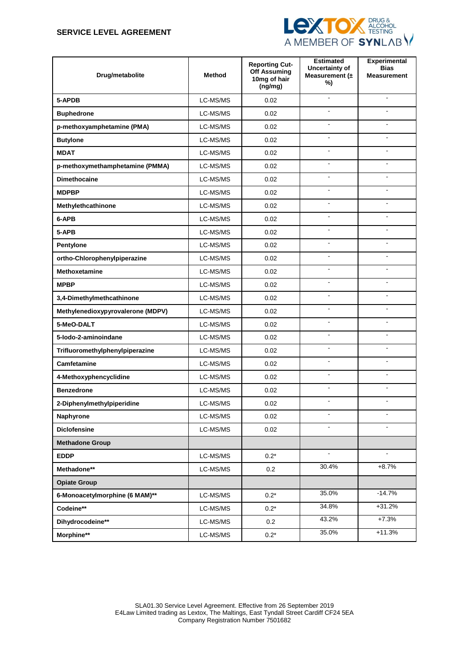# **SERVICE LEVEL AGREEMENT**



| Drug/metabolite                   | <b>Method</b> | <b>Reporting Cut-</b><br><b>Off Assuming</b><br>10mg of hair<br>(ng/mg) | <b>Estimated</b><br>Uncertainty of<br>Measurement $(±$<br>%) | <b>Experimental</b><br><b>Bias</b><br><b>Measurement</b> |
|-----------------------------------|---------------|-------------------------------------------------------------------------|--------------------------------------------------------------|----------------------------------------------------------|
| 5-APDB                            | LC-MS/MS      | 0.02                                                                    | $\overline{\phantom{a}}$                                     | $\blacksquare$                                           |
| <b>Buphedrone</b>                 | LC-MS/MS      | 0.02                                                                    |                                                              |                                                          |
| p-methoxyamphetamine (PMA)        | LC-MS/MS      | 0.02                                                                    | ÷                                                            |                                                          |
| <b>Butylone</b>                   | LC-MS/MS      | 0.02                                                                    | $\blacksquare$                                               | ÷.                                                       |
| <b>MDAT</b>                       | LC-MS/MS      | 0.02                                                                    | $\blacksquare$                                               | $\blacksquare$                                           |
| p-methoxymethamphetamine (PMMA)   | LC-MS/MS      | 0.02                                                                    | ÷,                                                           | ÷                                                        |
| <b>Dimethocaine</b>               | LC-MS/MS      | 0.02                                                                    |                                                              |                                                          |
| <b>MDPBP</b>                      | LC-MS/MS      | 0.02                                                                    | ä,                                                           |                                                          |
| Methylethcathinone                | LC-MS/MS      | 0.02                                                                    | $\blacksquare$                                               | $\overline{a}$                                           |
| 6-APB                             | LC-MS/MS      | 0.02                                                                    | $\blacksquare$                                               | $\blacksquare$                                           |
| 5-APB                             | LC-MS/MS      | 0.02                                                                    | $\blacksquare$                                               |                                                          |
| <b>Pentylone</b>                  | LC-MS/MS      | 0.02                                                                    | ÷,                                                           |                                                          |
| ortho-Chlorophenylpiperazine      | LC-MS/MS      | 0.02                                                                    | ÷,                                                           |                                                          |
| <b>Methoxetamine</b>              | LC-MS/MS      | 0.02                                                                    | $\blacksquare$                                               | $\blacksquare$                                           |
| <b>MPBP</b>                       | LC-MS/MS      | 0.02                                                                    | $\blacksquare$                                               | $\overline{a}$                                           |
| 3,4-Dimethylmethcathinone         | LC-MS/MS      | 0.02                                                                    | $\blacksquare$                                               | $\blacksquare$                                           |
| Methylenedioxypyrovalerone (MDPV) | LC-MS/MS      | 0.02                                                                    |                                                              |                                                          |
| 5-MeO-DALT                        | LC-MS/MS      | 0.02                                                                    | ÷,                                                           | $\overline{a}$                                           |
| 5-lodo-2-aminoindane              | LC-MS/MS      | 0.02                                                                    | $\blacksquare$                                               | $\blacksquare$                                           |
| Trifluoromethylphenylpiperazine   | LC-MS/MS      | 0.02                                                                    | $\blacksquare$                                               | $\blacksquare$                                           |
| <b>Camfetamine</b>                | LC-MS/MS      | 0.02                                                                    | ÷                                                            |                                                          |
| 4-Methoxyphencyclidine            | LC-MS/MS      | 0.02                                                                    | $\blacksquare$                                               | $\blacksquare$                                           |
| <b>Benzedrone</b>                 | LC-MS/MS      | 0.02                                                                    | ÷.                                                           | $\overline{a}$                                           |
| 2-Diphenylmethylpiperidine        | LC-MS/MS      | 0.02                                                                    | ä,                                                           | $\blacksquare$                                           |
| Naphyrone                         | LC-MS/MS      | 0.02                                                                    |                                                              |                                                          |
| <b>Diclofensine</b>               | LC-MS/MS      | 0.02                                                                    | $\blacksquare$                                               |                                                          |
| <b>Methadone Group</b>            |               |                                                                         |                                                              |                                                          |
| <b>EDDP</b>                       | LC-MS/MS      | $0.2^{\star}$                                                           | $\blacksquare$                                               | $\mathbf{r}$                                             |
| Methadone**                       | LC-MS/MS      | 0.2                                                                     | 30.4%                                                        | $+8.7%$                                                  |
| <b>Opiate Group</b>               |               |                                                                         |                                                              |                                                          |
| 6-Monoacetylmorphine (6 MAM)**    | LC-MS/MS      | $0.2*$                                                                  | 35.0%                                                        | $-14.7%$                                                 |
| Codeine**                         | LC-MS/MS      | $0.2*$                                                                  | 34.8%                                                        | $+31.2%$                                                 |
| Dihydrocodeine**                  | LC-MS/MS      | 0.2                                                                     | 43.2%                                                        | $+7.3%$                                                  |
| Morphine**                        | LC-MS/MS      | $0.2^{\star}$                                                           | 35.0%                                                        | $+11.3%$                                                 |